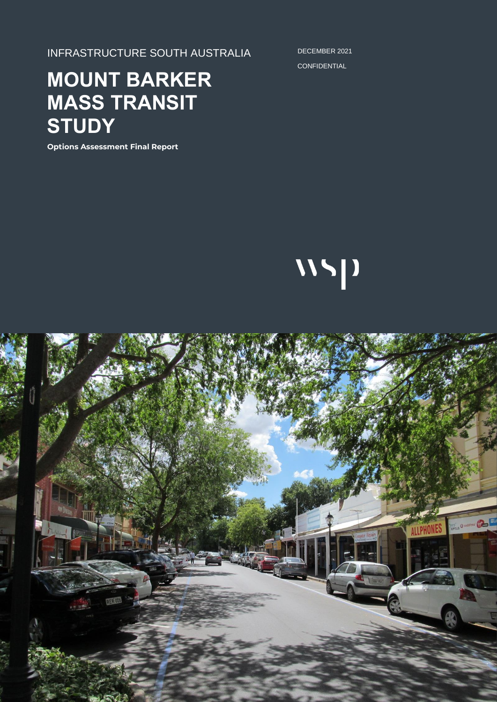INFRASTRUCTURE SOUTH AUSTRALIA

DECEMBER 2021 **CONFIDENTIAL** 

# **MOUNT BARKER MASS TRANSIT STUDY**

**Options Assessment Final Report**



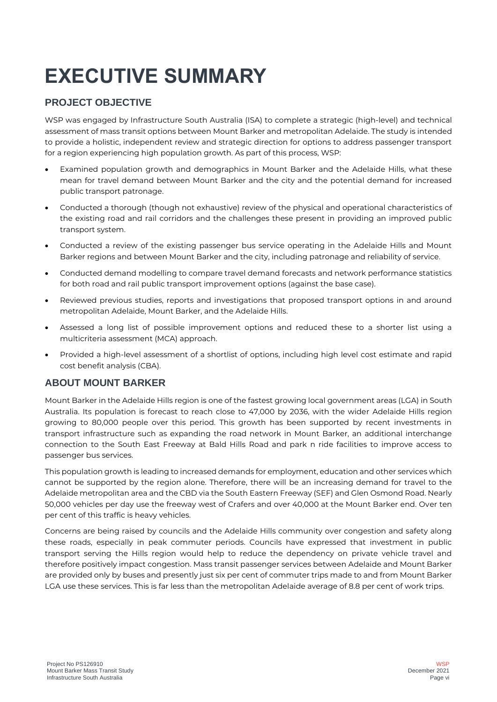# **EXECUTIVE SUMMARY**

# **PROJECT OBJECTIVE**

WSP was engaged by Infrastructure South Australia (ISA) to complete a strategic (high-level) and technical assessment of mass transit options between Mount Barker and metropolitan Adelaide. The study is intended to provide a holistic, independent review and strategic direction for options to address passenger transport for a region experiencing high population growth. As part of this process, WSP:

- Examined population growth and demographics in Mount Barker and the Adelaide Hills, what these mean for travel demand between Mount Barker and the city and the potential demand for increased public transport patronage.
- Conducted a thorough (though not exhaustive) review of the physical and operational characteristics of the existing road and rail corridors and the challenges these present in providing an improved public transport system.
- Conducted a review of the existing passenger bus service operating in the Adelaide Hills and Mount Barker regions and between Mount Barker and the city, including patronage and reliability of service.
- Conducted demand modelling to compare travel demand forecasts and network performance statistics for both road and rail public transport improvement options (against the base case).
- Reviewed previous studies, reports and investigations that proposed transport options in and around metropolitan Adelaide, Mount Barker, and the Adelaide Hills.
- Assessed a long list of possible improvement options and reduced these to a shorter list using a multicriteria assessment (MCA) approach.
- Provided a high-level assessment of a shortlist of options, including high level cost estimate and rapid cost benefit analysis (CBA).

# **ABOUT MOUNT BARKER**

Mount Barker in the Adelaide Hills region is one of the fastest growing local government areas (LGA) in South Australia. Its population is forecast to reach close to 47,000 by 2036, with the wider Adelaide Hills region growing to 80,000 people over this period. This growth has been supported by recent investments in transport infrastructure such as expanding the road network in Mount Barker, an additional interchange connection to the South East Freeway at Bald Hills Road and park n ride facilities to improve access to passenger bus services.

This population growth is leading to increased demands for employment, education and other services which cannot be supported by the region alone. Therefore, there will be an increasing demand for travel to the Adelaide metropolitan area and the CBD via the South Eastern Freeway (SEF) and Glen Osmond Road. Nearly 50,000 vehicles per day use the freeway west of Crafers and over 40,000 at the Mount Barker end. Over ten per cent of this traffic is heavy vehicles.

Concerns are being raised by councils and the Adelaide Hills community over congestion and safety along these roads, especially in peak commuter periods. Councils have expressed that investment in public transport serving the Hills region would help to reduce the dependency on private vehicle travel and therefore positively impact congestion. Mass transit passenger services between Adelaide and Mount Barker are provided only by buses and presently just six per cent of commuter trips made to and from Mount Barker LGA use these services. This is far less than the metropolitan Adelaide average of 8.8 per cent of work trips.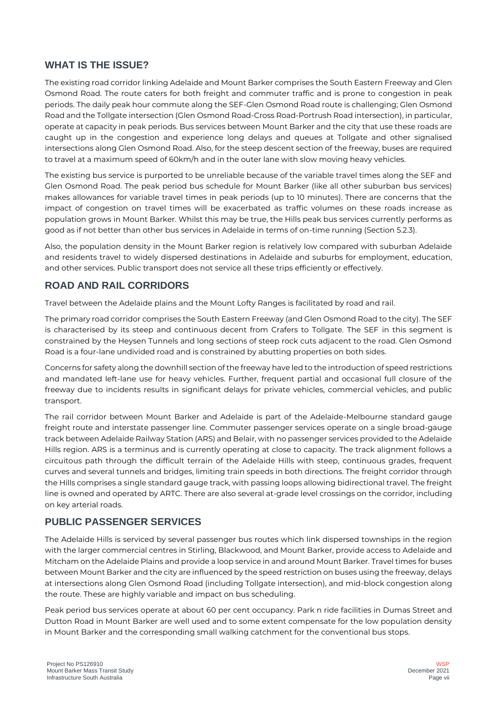#### **WHAT IS THE ISSUE?**

The existing road corridor linking Adelaide and Mount Barker comprises the South Eastern Freeway and Glen Osmond Road. The route caters for both freight and commuter traffic and is prone to congestion in peak periods. The daily peak hour commute along the SEF-Glen Osmond Road route is challenging; Glen Osmond Road and the Tollgate intersection (Glen Osmond Road-Cross Road-Portrush Road intersection), in particular, operate at capacity in peak periods. Bus services between Mount Barker and the city that use these roads are caught up in the congestion and experience long delays and queues at Tollgate and other signalised intersections along Glen Osmond Road. Also, for the steep descent section of the freeway, buses are required to travel at a maximum speed of 60km/h and in the outer lane with slow moving heavy vehicles.

The existing bus service is purported to be unreliable because of the variable travel times along the SEF and Glen Osmond Road. The peak period bus schedule for Mount Barker (like all other suburban bus services) makes allowances for variable travel times in peak periods (up to 10 minutes). There are concerns that the impact of congestion on travel times will be exacerbated as traffic volumes on these roads increase as population grows in Mount Barker. Whilst this may be true, the Hills peak bus services currently performs as good as if not better than other bus services in Adelaide in terms of on-time running (Section 5.2.3).

Also, the population density in the Mount Barker region is relatively low compared with suburban Adelaide and residents travel to widely dispersed destinations in Adelaide and suburbs for employment, education, and other services. Public transport does not service all these trips efficiently or effectively.

# **ROAD AND RAIL CORRIDORS**

Travel between the Adelaide plains and the Mount Lofty Ranges is facilitated by road and rail.

The primary road corridor comprises the South Eastern Freeway (and Glen Osmond Road to the city). The SEF is characterised by its steep and continuous decent from Crafers to Tollgate. The SEF in this segment is constrained by the Heysen Tunnels and long sections of steep rock cuts adjacent to the road. Glen Osmond Road is a four-lane undivided road and is constrained by abutting properties on both sides.

Concerns for safety along the downhill section of the freeway have led to the introduction of speed restrictions and mandated left-lane use for heavy vehicles. Further, frequent partial and occasional full closure of the freeway due to incidents results in significant delays for private vehicles, commercial vehicles, and public transport.

The rail corridor between Mount Barker and Adelaide is part of the Adelaide-Melbourne standard gauge freight route and interstate passenger line. Commuter passenger services operate on a single broad-gauge track between Adelaide Railway Station (ARS) and Belair, with no passenger services provided to the Adelaide Hills region. ARS is a terminus and is currently operating at close to capacity. The track alignment follows a circuitous path through the difficult terrain of the Adelaide Hills with steep, continuous grades, frequent curves and several tunnels and bridges, limiting train speeds in both directions. The freight corridor through the Hills comprises a single standard gauge track, with passing loops allowing bidirectional travel. The freight line is owned and operated by ARTC. There are also several at-grade level crossings on the corridor, including on key arterial roads.

# **PUBLIC PASSENGER SERVICES**

The Adelaide Hills is serviced by several passenger bus routes which link dispersed townships in the region with the larger commercial centres in Stirling, Blackwood, and Mount Barker, provide access to Adelaide and Mitcham on the Adelaide Plains and provide a loop service in and around Mount Barker. Travel times for buses between Mount Barker and the city are influenced by the speed restriction on buses using the freeway, delays at intersections along Glen Osmond Road (including Tollgate intersection), and mid-block congestion along the route. These are highly variable and impact on bus scheduling.

Peak period bus services operate at about 60 per cent occupancy. Park n ride facilities in Dumas Street and Dutton Road in Mount Barker are well used and to some extent compensate for the low population density in Mount Barker and the corresponding small walking catchment for the conventional bus stops.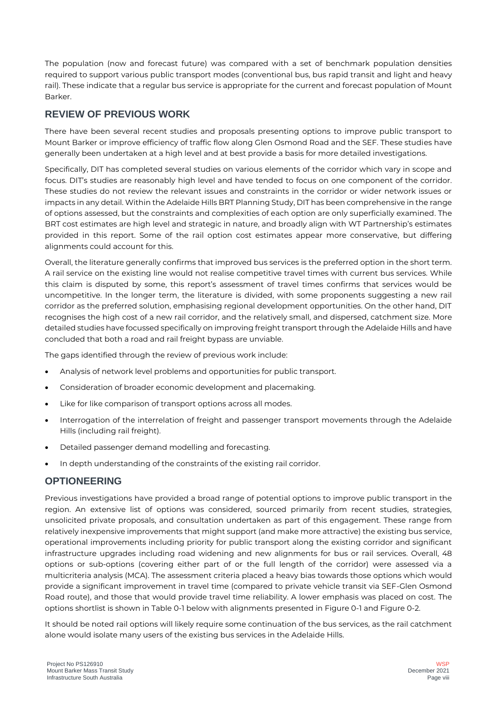The population (now and forecast future) was compared with a set of benchmark population densities required to support various public transport modes (conventional bus, bus rapid transit and light and heavy rail). These indicate that a regular bus service is appropriate for the current and forecast population of Mount Barker.

## **REVIEW OF PREVIOUS WORK**

There have been several recent studies and proposals presenting options to improve public transport to Mount Barker or improve efficiency of traffic flow along Glen Osmond Road and the SEF. These studies have generally been undertaken at a high level and at best provide a basis for more detailed investigations.

Specifically, DIT has completed several studies on various elements of the corridor which vary in scope and focus. DIT's studies are reasonably high level and have tended to focus on one component of the corridor. These studies do not review the relevant issues and constraints in the corridor or wider network issues or impacts in any detail. Within the Adelaide Hills BRT Planning Study, DIT has been comprehensive in the range of options assessed, but the constraints and complexities of each option are only superficially examined. The BRT cost estimates are high level and strategic in nature, and broadly align with WT Partnership's estimates provided in this report. Some of the rail option cost estimates appear more conservative, but differing alignments could account for this.

Overall, the literature generally confirms that improved bus services is the preferred option in the short term. A rail service on the existing line would not realise competitive travel times with current bus services. While this claim is disputed by some, this report's assessment of travel times confirms that services would be uncompetitive. In the longer term, the literature is divided, with some proponents suggesting a new rail corridor as the preferred solution, emphasising regional development opportunities. On the other hand, DIT recognises the high cost of a new rail corridor, and the relatively small, and dispersed, catchment size. More detailed studies have focussed specifically on improving freight transport through the Adelaide Hills and have concluded that both a road and rail freight bypass are unviable.

The gaps identified through the review of previous work include:

- Analysis of network level problems and opportunities for public transport.
- Consideration of broader economic development and placemaking.
- Like for like comparison of transport options across all modes.
- Interrogation of the interrelation of freight and passenger transport movements through the Adelaide Hills (including rail freight).
- Detailed passenger demand modelling and forecasting.
- In depth understanding of the constraints of the existing rail corridor.

#### **OPTIONEERING**

Previous investigations have provided a broad range of potential options to improve public transport in the region. An extensive list of options was considered, sourced primarily from recent studies, strategies, unsolicited private proposals, and consultation undertaken as part of this engagement. These range from relatively inexpensive improvements that might support (and make more attractive) the existing bus service, operational improvements including priority for public transport along the existing corridor and significant infrastructure upgrades including road widening and new alignments for bus or rail services. Overall, 48 options or sub-options (covering either part of or the full length of the corridor) were assessed via a multicriteria analysis (MCA). The assessment criteria placed a heavy bias towards those options which would provide a significant improvement in travel time (compared to private vehicle transit via SEF-Glen Osmond Road route), and those that would provide travel time reliability. A lower emphasis was placed on cost. The options shortlist is shown i[n Table 0-1](#page-4-0) below with alignments presented in [Figure 0-1](#page-5-0) an[d Figure 0-2.](#page-6-0)

It should be noted rail options will likely require some continuation of the bus services, as the rail catchment alone would isolate many users of the existing bus services in the Adelaide Hills.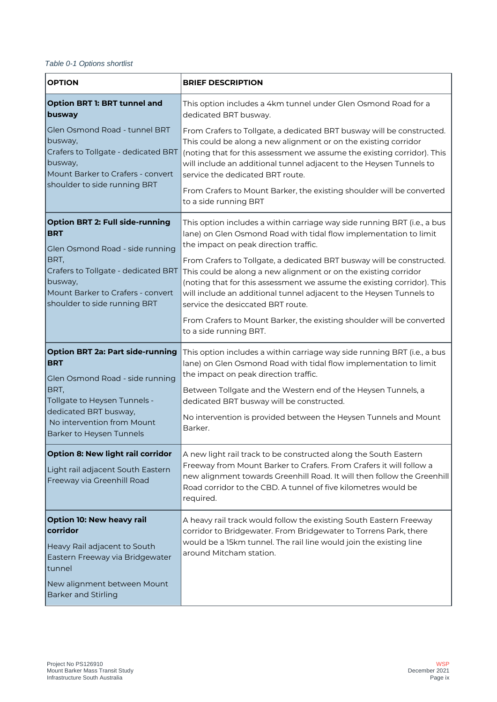#### <span id="page-4-0"></span>*Table 0-1 Options shortlist*

| <b>OPTION</b>                                                                                                                                                    | <b>BRIEF DESCRIPTION</b>                                                                                                                                                                                                                                                                                                                                                                                                         |  |  |  |
|------------------------------------------------------------------------------------------------------------------------------------------------------------------|----------------------------------------------------------------------------------------------------------------------------------------------------------------------------------------------------------------------------------------------------------------------------------------------------------------------------------------------------------------------------------------------------------------------------------|--|--|--|
| <b>Option BRT 1: BRT tunnel and</b><br>busway                                                                                                                    | This option includes a 4km tunnel under Glen Osmond Road for a<br>dedicated BRT busway.                                                                                                                                                                                                                                                                                                                                          |  |  |  |
| Glen Osmond Road - tunnel BRT<br>busway,<br>Crafers to Tollgate - dedicated BRT<br> busway,<br>Mount Barker to Crafers - convert<br>shoulder to side running BRT | From Crafers to Tollgate, a dedicated BRT busway will be constructed.<br>This could be along a new alignment or on the existing corridor<br>(noting that for this assessment we assume the existing corridor). This<br>will include an additional tunnel adjacent to the Heysen Tunnels to<br>service the dedicated BRT route.<br>From Crafers to Mount Barker, the existing shoulder will be converted<br>to a side running BRT |  |  |  |
| <b>Option BRT 2: Full side-running</b><br><b>BRT</b>                                                                                                             | This option includes a within carriage way side running BRT (i.e., a bus<br>lane) on Glen Osmond Road with tidal flow implementation to limit<br>the impact on peak direction traffic.                                                                                                                                                                                                                                           |  |  |  |
| Glen Osmond Road - side running<br>BRT,<br>Crafers to Tollgate - dedicated BRT<br> busway,<br>Mount Barker to Crafers - convert<br>shoulder to side running BRT  | From Crafers to Tollgate, a dedicated BRT busway will be constructed.<br>This could be along a new alignment or on the existing corridor<br>(noting that for this assessment we assume the existing corridor). This<br>will include an additional tunnel adjacent to the Heysen Tunnels to<br>service the desiccated BRT route.                                                                                                  |  |  |  |
|                                                                                                                                                                  | From Crafers to Mount Barker, the existing shoulder will be converted<br>to a side running BRT.                                                                                                                                                                                                                                                                                                                                  |  |  |  |
| <b>Option BRT 2a: Part side-running</b><br><b>BRT</b><br>Glen Osmond Road - side running                                                                         | This option includes a within carriage way side running BRT (i.e., a bus<br>lane) on Glen Osmond Road with tidal flow implementation to limit<br>the impact on peak direction traffic.                                                                                                                                                                                                                                           |  |  |  |
| BRT,<br>Tollgate to Heysen Tunnels -<br>dedicated BRT busway,<br>No intervention from Mount<br>Barker to Heysen Tunnels                                          | Between Tollgate and the Western end of the Heysen Tunnels, a<br>dedicated BRT busway will be constructed.                                                                                                                                                                                                                                                                                                                       |  |  |  |
|                                                                                                                                                                  | No intervention is provided between the Heysen Tunnels and Mount<br>Barker.                                                                                                                                                                                                                                                                                                                                                      |  |  |  |
| Option 8: New light rail corridor<br>Light rail adjacent South Eastern<br>Freeway via Greenhill Road                                                             | A new light rail track to be constructed along the South Eastern<br>Freeway from Mount Barker to Crafers. From Crafers it will follow a<br>new alignment towards Greenhill Road. It will then follow the Greenhill<br>Road corridor to the CBD. A tunnel of five kilometres would be<br>required.                                                                                                                                |  |  |  |
| <b>Option 10: New heavy rail</b><br>corridor<br>Heavy Rail adjacent to South<br>Eastern Freeway via Bridgewater<br>tunnel                                        | A heavy rail track would follow the existing South Eastern Freeway<br>corridor to Bridgewater. From Bridgewater to Torrens Park, there<br>would be a 15km tunnel. The rail line would join the existing line<br>around Mitcham station.                                                                                                                                                                                          |  |  |  |
| New alignment between Mount<br><b>Barker and Stirling</b>                                                                                                        |                                                                                                                                                                                                                                                                                                                                                                                                                                  |  |  |  |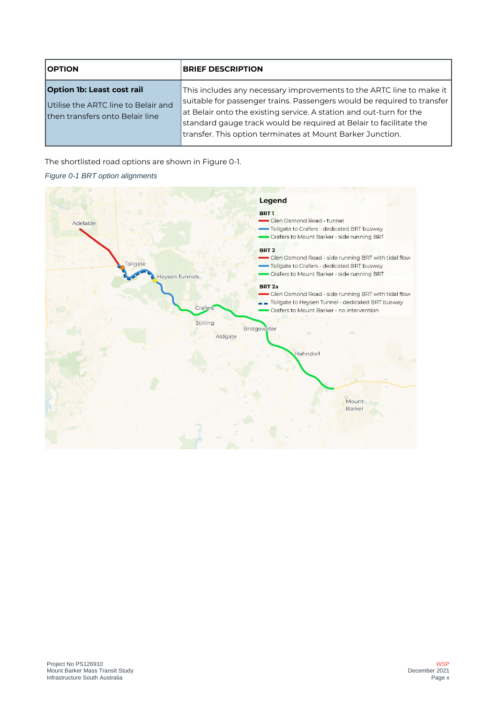| <b>OPTION</b>                                                                                               | <b>BRIEF DESCRIPTION</b>                                                                                                                                                                                                                                                                       |
|-------------------------------------------------------------------------------------------------------------|------------------------------------------------------------------------------------------------------------------------------------------------------------------------------------------------------------------------------------------------------------------------------------------------|
| <b>Option 1b: Least cost rail</b><br>Utilise the ARTC line to Belair and<br>then transfers onto Belair line | This includes any necessary improvements to the ARTC line to make it<br>suitable for passenger trains. Passengers would be required to transfer  <br>at Belair onto the existing service. A station and out-turn for the<br>standard gauge track would be required at Belair to facilitate the |
|                                                                                                             | transfer. This option terminates at Mount Barker Junction.                                                                                                                                                                                                                                     |

The shortlisted road options are shown in [Figure 0-1.](#page-5-0)

<span id="page-5-0"></span>

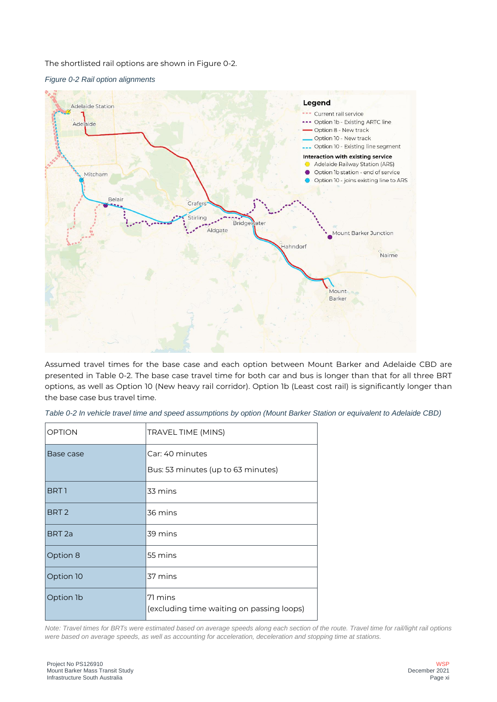The shortlisted rail options are shown i[n Figure 0-2.](#page-6-0)

<span id="page-6-0"></span>



Assumed travel times for the base case and each option between Mount Barker and Adelaide CBD are presented in [Table 0-2.](#page-6-1) The base case travel time for both car and bus is longer than that for all three BRT options, as well as Option 10 (New heavy rail corridor). Option 1b (Least cost rail) is significantly longer than the base case bus travel time.

| <b>OPTION</b>     | TRAVEL TIME (MINS)                                   |
|-------------------|------------------------------------------------------|
| Base case         | Car: 40 minutes                                      |
|                   | Bus: 53 minutes (up to 63 minutes)                   |
| BRT 1             | 33 mins                                              |
| BRT <sub>2</sub>  | 36 mins                                              |
| BRT <sub>2a</sub> | 39 mins                                              |
| Option 8          | 55 mins                                              |
| Option 10         | 37 mins                                              |
| Option 1b         | 71 mins<br>(excluding time waiting on passing loops) |

<span id="page-6-1"></span>*Table 0-2 In vehicle travel time and speed assumptions by option (Mount Barker Station or equivalent to Adelaide CBD)*

*Note: Travel times for BRTs were estimated based on average speeds along each section of the route. Travel time for rail/light rail options were based on average speeds, as well as accounting for acceleration, deceleration and stopping time at stations.*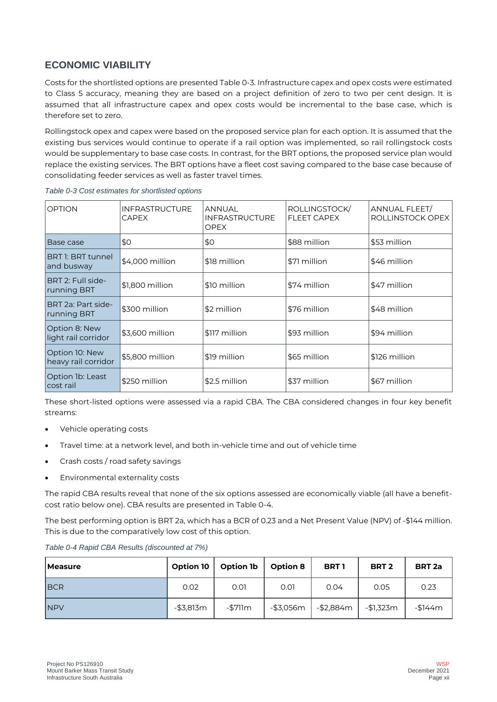# **ECONOMIC VIABILITY**

Costs for the shortlisted options are presente[d Table 0-3.](#page-7-0) Infrastructure capex and opex costs were estimated to Class 5 accuracy, meaning they are based on a project definition of zero to two per cent design. It is assumed that all infrastructure capex and opex costs would be incremental to the base case, which is therefore set to zero.

Rollingstock opex and capex were based on the proposed service plan for each option. It is assumed that the existing bus services would continue to operate if a rail option was implemented, so rail rollingstock costs would be supplementary to base case costs. In contrast, for the BRT options, the proposed service plan would replace the existing services. The BRT options have a fleet cost saving compared to the base case because of consolidating feeder services as well as faster travel times.

| <b>OPTION</b>                         | <b>INFRASTRUCTURE</b><br><b>CAPEX</b> | ANNUAL<br><b>INFRASTRUCTURE</b><br><b>OPEX</b> | ROLLINGSTOCK/<br><b>FLEET CAPEX</b> | ANNUAL FLEET/<br>ROLLINSTOCK OPEX |  |
|---------------------------------------|---------------------------------------|------------------------------------------------|-------------------------------------|-----------------------------------|--|
| Base case                             | \$0                                   | \$0                                            | \$88 million                        | \$53 million                      |  |
| BRT 1: BRT tunnel<br>and busway       | \$4,000 million                       | \$18 million                                   | \$71 million                        | \$46 million                      |  |
| BRT 2: Full side-<br>running BRT      | \$1,800 million                       | \$10 million                                   | \$74 million                        | \$47 million                      |  |
| BRT 2a: Part side-<br>running BRT     | \$300 million                         | \$2 million                                    | \$76 million                        | \$48 million                      |  |
| Option 8: New<br>light rail corridor  | \$3,600 million                       | \$117 million                                  | \$93 million                        | \$94 million                      |  |
| Option 10: New<br>heavy rail corridor | \$5,800 million                       | \$19 million                                   | \$65 million                        | \$126 million                     |  |
| Option 1b: Least<br>cost rail         | \$250 million                         | \$2.5 million                                  | \$37 million                        | \$67 million                      |  |

<span id="page-7-0"></span>*Table 0-3 Cost estimates for shortlisted options*

These short-listed options were assessed via a rapid CBA. The CBA considered changes in four key benefit streams:

- Vehicle operating costs
- Travel time: at a network level, and both in-vehicle time and out of vehicle time
- Crash costs / road safety savings
- Environmental externality costs

The rapid CBA results reveal that none of the six options assessed are economically viable (all have a benefitcost ratio below one). CBA results are presented in [Table 0-4.](#page-7-1)

The best performing option is BRT 2a, which has a BCR of 0.23 and a Net Present Value (NPV) of -\$144 million. This is due to the comparatively low cost of this option.

| <b>Measure</b> | Option 10    | <b>Option 1b</b> | <b>Option 8</b> | <b>BRT1</b> | BRT <sub>2</sub> | <b>BRT 2a</b> |
|----------------|--------------|------------------|-----------------|-------------|------------------|---------------|
| <b>BCR</b>     | 0.02         | 0.01             | 0.01            | 0.04        | 0.05             | 0.23          |
| <b>INPV</b>    | $-$ \$3,813m | -\$711m          | -\$3,056m       | -\$2,884m   | -\$1,323m        | $-$144m$      |

<span id="page-7-1"></span>*Table 0-4 Rapid CBA Results (discounted at 7%)*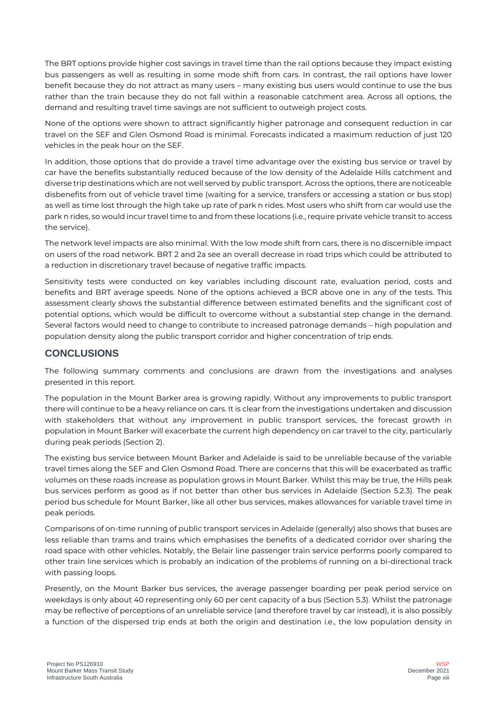The BRT options provide higher cost savings in travel time than the rail options because they impact existing bus passengers as well as resulting in some mode shift from cars. In contrast, the rail options have lower benefit because they do not attract as many users – many existing bus users would continue to use the bus rather than the train because they do not fall within a reasonable catchment area. Across all options, the demand and resulting travel time savings are not sufficient to outweigh project costs.

None of the options were shown to attract significantly higher patronage and consequent reduction in car travel on the SEF and Glen Osmond Road is minimal. Forecasts indicated a maximum reduction of just 120 vehicles in the peak hour on the SEF.

In addition, those options that do provide a travel time advantage over the existing bus service or travel by car have the benefits substantially reduced because of the low density of the Adelaide Hills catchment and diverse trip destinations which are not well served by public transport. Across the options, there are noticeable disbenefits from out of vehicle travel time (waiting for a service, transfers or accessing a station or bus stop) as well as time lost through the high take up rate of park n rides. Most users who shift from car would use the park n rides, so would incur travel time to and from these locations (i.e., require private vehicle transit to access the service).

The network level impacts are also minimal. With the low mode shift from cars, there is no discernible impact on users of the road network. BRT 2 and 2a see an overall decrease in road trips which could be attributed to a reduction in discretionary travel because of negative traffic impacts.

Sensitivity tests were conducted on key variables including discount rate, evaluation period, costs and benefits and BRT average speeds. None of the options achieved a BCR above one in any of the tests. This assessment clearly shows the substantial difference between estimated benefits and the significant cost of potential options, which would be difficult to overcome without a substantial step change in the demand. Several factors would need to change to contribute to increased patronage demands – high population and population density along the public transport corridor and higher concentration of trip ends.

# **CONCLUSIONS**

The following summary comments and conclusions are drawn from the investigations and analyses presented in this report.

The population in the Mount Barker area is growing rapidly. Without any improvements to public transport there will continue to be a heavy reliance on cars. It is clear from the investigations undertaken and discussion with stakeholders that without any improvement in public transport services, the forecast growth in population in Mount Barker will exacerbate the current high dependency on car travel to the city, particularly during peak periods (Section 2).

The existing bus service between Mount Barker and Adelaide is said to be unreliable because of the variable travel times along the SEF and Glen Osmond Road. There are concerns that this will be exacerbated as traffic volumes on these roads increase as population grows in Mount Barker. Whilst this may be true, the Hills peak bus services perform as good as if not better than other bus services in Adelaide (Section 5.2.3). The peak period bus schedule for Mount Barker, like all other bus services, makes allowances for variable travel time in peak periods.

Comparisons of on-time running of public transport services in Adelaide (generally) also shows that buses are less reliable than trams and trains which emphasises the benefits of a dedicated corridor over sharing the road space with other vehicles. Notably, the Belair line passenger train service performs poorly compared to other train line services which is probably an indication of the problems of running on a bi-directional track with passing loops.

Presently, on the Mount Barker bus services, the average passenger boarding per peak period service on weekdays is only about 40 representing only 60 per cent capacity of a bus (Section 5.3). Whilst the patronage may be reflective of perceptions of an unreliable service (and therefore travel by car instead), it is also possibly a function of the dispersed trip ends at both the origin and destination i.e., the low population density in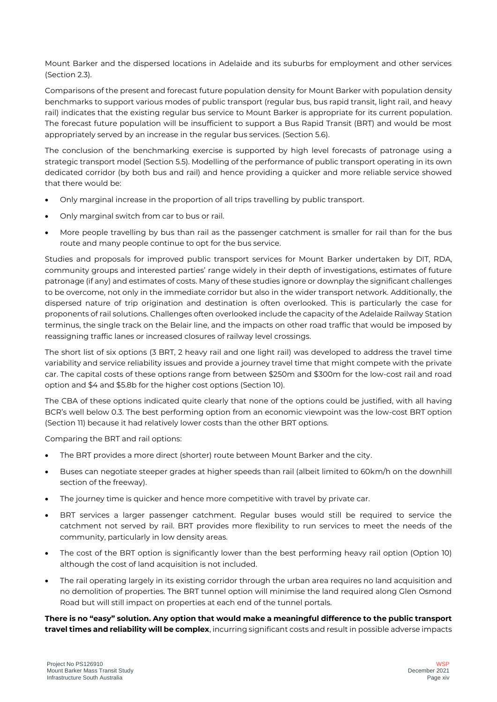Mount Barker and the dispersed locations in Adelaide and its suburbs for employment and other services (Section 2.3).

Comparisons of the present and forecast future population density for Mount Barker with population density benchmarks to support various modes of public transport (regular bus, bus rapid transit, light rail, and heavy rail) indicates that the existing regular bus service to Mount Barker is appropriate for its current population. The forecast future population will be insufficient to support a Bus Rapid Transit (BRT) and would be most appropriately served by an increase in the regular bus services. (Section 5.6).

The conclusion of the benchmarking exercise is supported by high level forecasts of patronage using a strategic transport model (Section 5.5). Modelling of the performance of public transport operating in its own dedicated corridor (by both bus and rail) and hence providing a quicker and more reliable service showed that there would be:

- Only marginal increase in the proportion of all trips travelling by public transport.
- Only marginal switch from car to bus or rail.
- More people travelling by bus than rail as the passenger catchment is smaller for rail than for the bus route and many people continue to opt for the bus service.

Studies and proposals for improved public transport services for Mount Barker undertaken by DIT, RDA, community groups and interested parties' range widely in their depth of investigations, estimates of future patronage (if any) and estimates of costs. Many of these studies ignore or downplay the significant challenges to be overcome, not only in the immediate corridor but also in the wider transport network. Additionally, the dispersed nature of trip origination and destination is often overlooked. This is particularly the case for proponents of rail solutions. Challenges often overlooked include the capacity of the Adelaide Railway Station terminus, the single track on the Belair line, and the impacts on other road traffic that would be imposed by reassigning traffic lanes or increased closures of railway level crossings.

The short list of six options (3 BRT, 2 heavy rail and one light rail) was developed to address the travel time variability and service reliability issues and provide a journey travel time that might compete with the private car. The capital costs of these options range from between \$250m and \$300m for the low-cost rail and road option and \$4 and \$5.8b for the higher cost options (Section 10).

The CBA of these options indicated quite clearly that none of the options could be justified, with all having BCR's well below 0.3. The best performing option from an economic viewpoint was the low-cost BRT option (Section 11) because it had relatively lower costs than the other BRT options.

Comparing the BRT and rail options:

- The BRT provides a more direct (shorter) route between Mount Barker and the city.
- Buses can negotiate steeper grades at higher speeds than rail (albeit limited to 60km/h on the downhill section of the freeway).
- The journey time is quicker and hence more competitive with travel by private car.
- BRT services a larger passenger catchment. Regular buses would still be required to service the catchment not served by rail. BRT provides more flexibility to run services to meet the needs of the community, particularly in low density areas.
- The cost of the BRT option is significantly lower than the best performing heavy rail option (Option 10) although the cost of land acquisition is not included.
- The rail operating largely in its existing corridor through the urban area requires no land acquisition and no demolition of properties. The BRT tunnel option will minimise the land required along Glen Osmond Road but will still impact on properties at each end of the tunnel portals.

#### **There is no "easy" solution. Any option that would make a meaningful difference to the public transport travel times and reliability will be complex**, incurring significant costs and result in possible adverse impacts